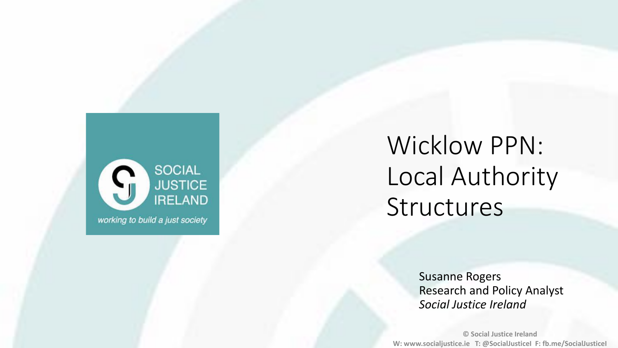

## Wicklow PPN: Local Authority Structures

Susanne Rogers Research and Policy Analyst *Social Justice Ireland*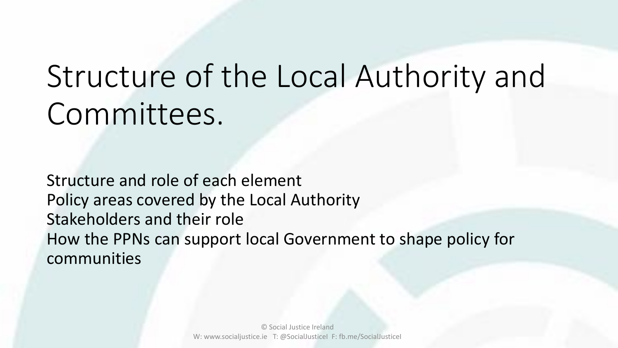# Structure of the Local Authority and Committees.

Structure and role of each element Policy areas covered by the Local Authority Stakeholders and their role How the PPNs can support local Government to shape policy for communities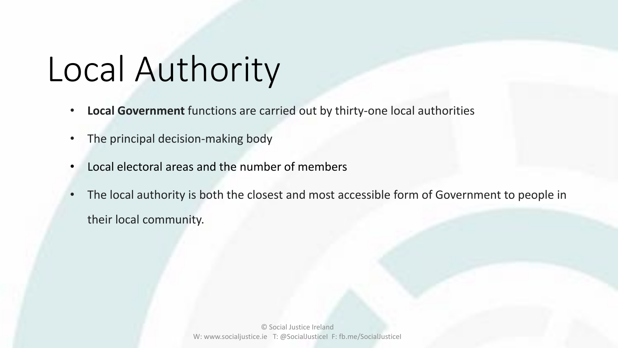# Local Authority

- **Local Government** functions are carried out by thirty-one local authorities
- The principal decision-making body
- Local electoral areas and the number of members
- The local authority is both the closest and most accessible form of Government to people in their local community.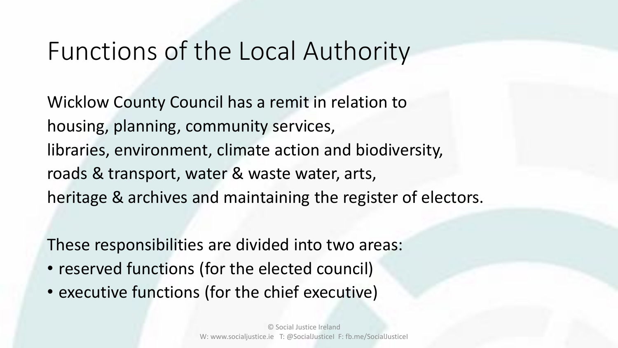### Functions of the Local Authority

Wicklow County Council has a remit in relation to housing, planning, community services, libraries, environment, climate action and biodiversity, roads & transport, water & waste water, arts, heritage & archives and maintaining the register of electors.

These responsibilities are divided into two areas:

- reserved functions (for the elected council)
- executive functions (for the chief executive)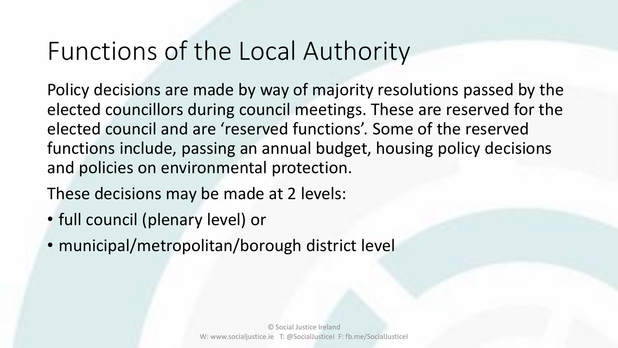### Functions of the Local Authority

Policy decisions are made by way of majority resolutions passed by the elected councillors during council meetings. These are reserved for the elected council and are 'reserved functions'. Some of the reserved functions include, passing an annual budget, housing policy decisions and policies on environmental protection.

These decisions may be made at 2 levels:

- full council (plenary level) or
- municipal/metropolitan/borough district level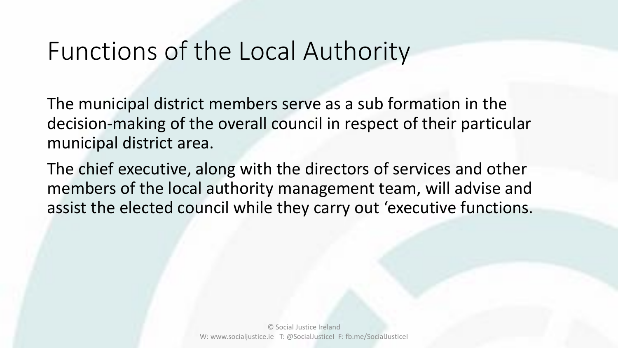### Functions of the Local Authority

The municipal district members serve as a sub formation in the decision-making of the overall council in respect of their particular municipal district area.

The chief executive, along with the directors of services and other members of the local authority management team, will advise and assist the elected council while they carry out 'executive functions.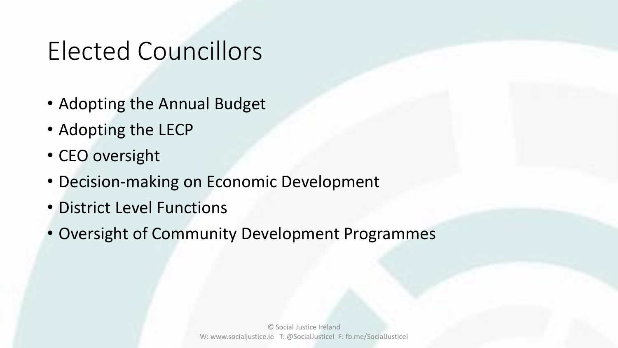### Elected Councillors

- Adopting the Annual Budget
- Adopting the LECP
- CEO oversight
- Decision-making on Economic Development
- District Level Functions
- Oversight of Community Development Programmes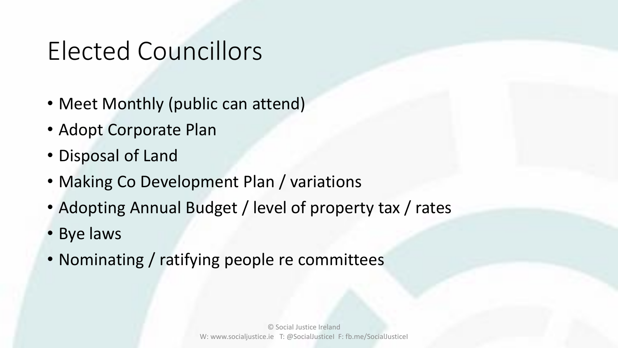### Elected Councillors

- Meet Monthly (public can attend)
- Adopt Corporate Plan
- Disposal of Land
- Making Co Development Plan / variations
- Adopting Annual Budget / level of property tax / rates
- Bye laws
- Nominating / ratifying people re committees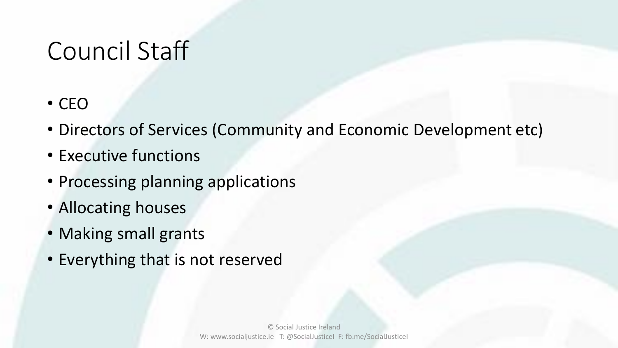### Council Staff

- CEO
- Directors of Services (Community and Economic Development etc)
- Executive functions
- Processing planning applications
- Allocating houses
- Making small grants
- Everything that is not reserved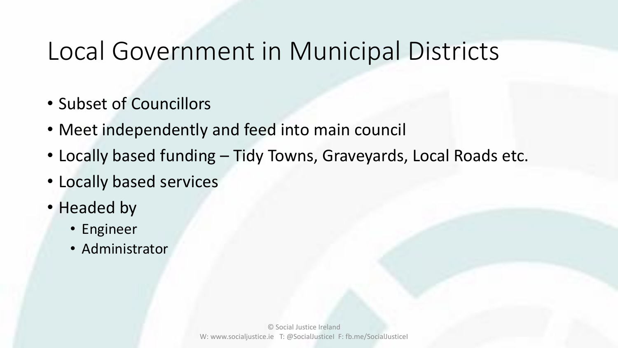### Local Government in Municipal Districts

- Subset of Councillors
- Meet independently and feed into main council
- Locally based funding Tidy Towns, Graveyards, Local Roads etc.
- Locally based services
- Headed by
	- Engineer
	- Administrator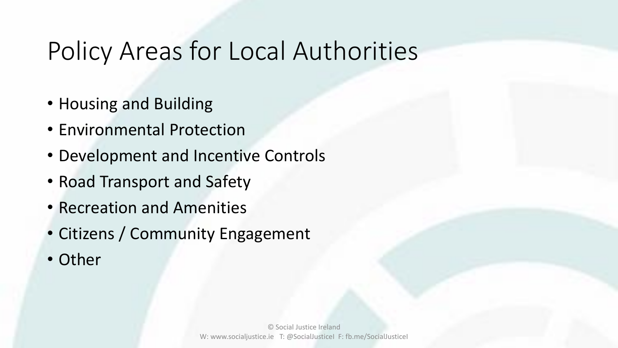### Policy Areas for Local Authorities

- Housing and Building
- Environmental Protection
- Development and Incentive Controls
- Road Transport and Safety
- Recreation and Amenities
- Citizens / Community Engagement
- Other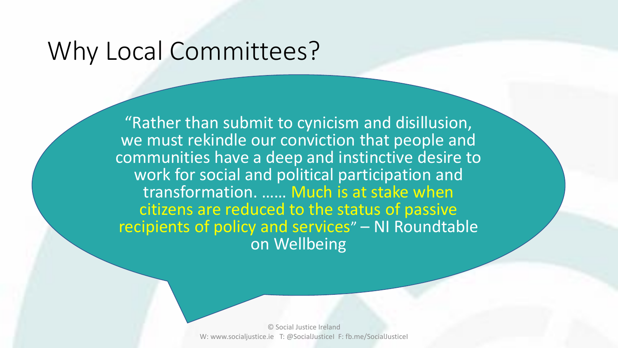### Why Local Committees?

"Rather than submit to cynicism and disillusion, we must rekindle our conviction that people and communities have a deep and instinctive desire to work for social and political participation and transformation. …… Much is at stake when citizens are reduced to the status of passive recipients of policy and services" – NI Roundtable on Wellbeing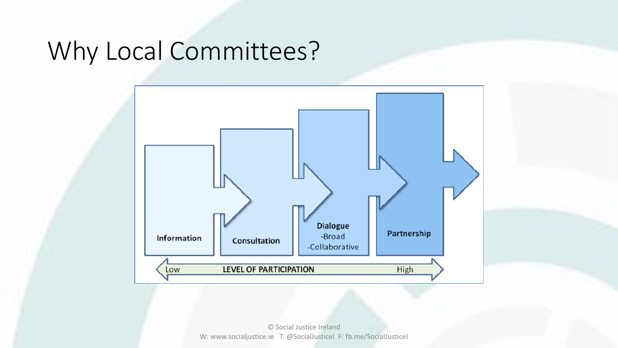### Why Local Committees?

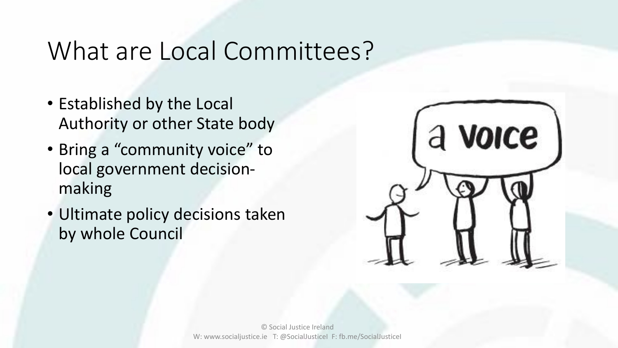### What are Local Committees?

- Established by the Local Authority or other State body
- Bring a "community voice" to local government decisionmaking
- Ultimate policy decisions taken by whole Council

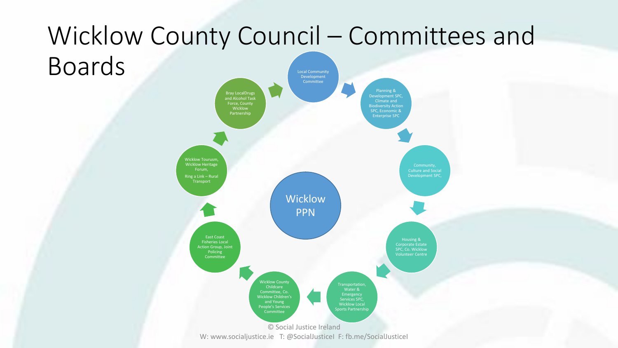#### Wicklow County Council – Committees and **Boards** Development Committee Planning & Climate and Biodiversity Action Enterprise SPC Culture and Social Development SPC, Housing & Corporate Estate SPC, Co. Wicklow Volunteer Centre Transportation, Water & Emergency Services SPC, Wicklow Local Sports Partnership Wicklow County Childcare Committee, Co. Wicklow Children's and Young People's Services Committee East Coast Fisheries Local Action Group, Joint Policing **Committee** Wicklow Tourusm, Wicklow Heritage Forum, Ring a Link – Rural **Transport** Bray LocalDrugs and Alcohol Task Force, County Wicklow Partnership Wicklow PPN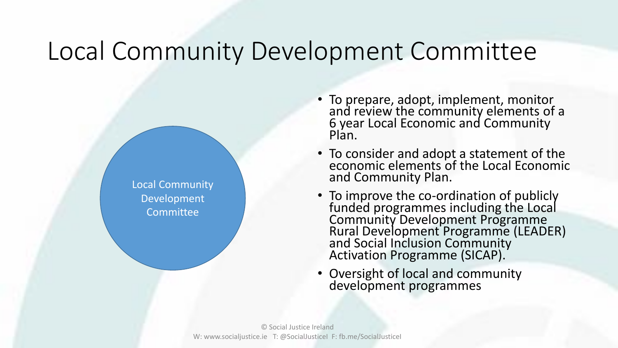### Local Community Development Committee

Local Community Development Committee

- To prepare, adopt, implement, monitor and review the community elements of a 6 year Local Economic and Community Plan.
- To consider and adopt a statement of the economic elements of the Local Economic and Community Plan.
- To improve the co-ordination of publicly funded programmes including the Local Community Development Programme Rural Development Programme (LEADER) and Social Inclusion Community Activation Programme (SICAP).
- Oversight of local and community development programmes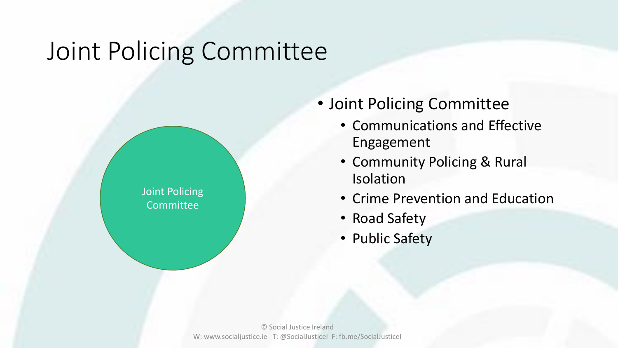### Joint Policing Committee

Joint Policing **Committee** 

- Joint Policing Committee
	- Communications and Effective Engagement
	- Community Policing & Rural Isolation
	- Crime Prevention and Education
	- Road Safety
	- Public Safety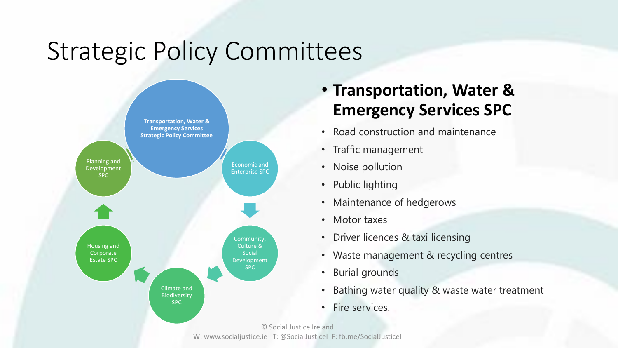

• **Transportation, Water & Emergency Services SPC**

- Road construction and maintenance
- Traffic management
- Noise pollution
- Public lighting
- Maintenance of hedgerows
- Motor taxes
- Driver licences & taxi licensing
- Waste management & recycling centres
- Burial grounds
- Bathing water quality & waste water treatment
- Fire services.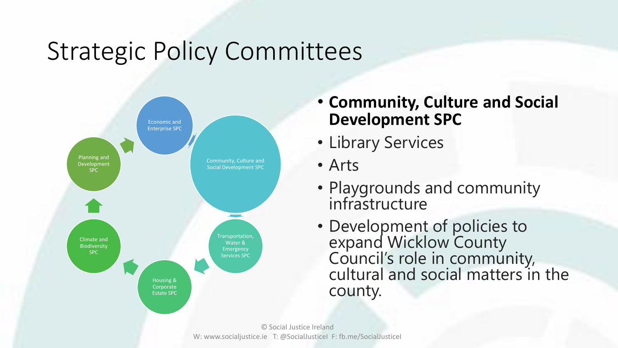

### • **Community, Culture and Social Development SPC**

- Library Services
- Arts
- Playgrounds and community infrastructure
- Development of policies to expand Wicklow County Council's role in community, cultural and social matters in the county.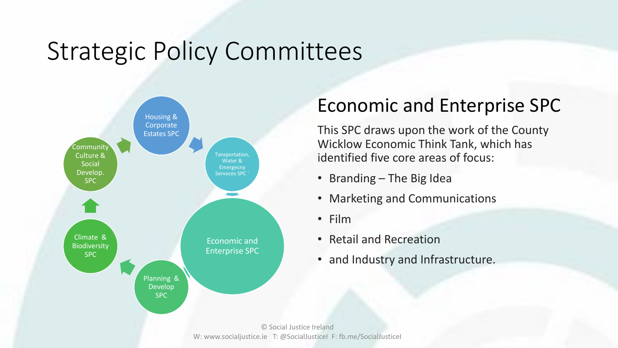

### Economic and Enterprise SPC

This SPC draws upon the work of the County Wicklow Economic Think Tank, which has identified five core areas of focus:

- Branding The Big Idea
- Marketing and Communications
- Film
- Retail and Recreation
- and Industry and Infrastructure.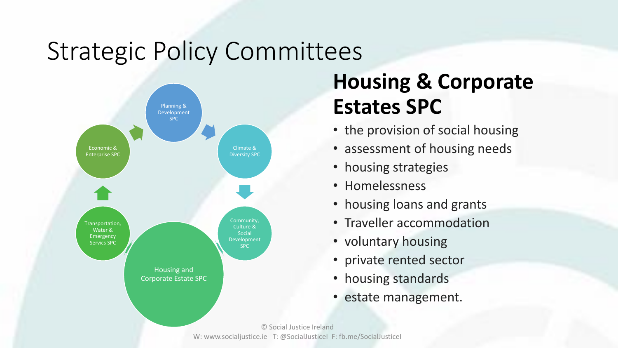

### **Housing & Corporate Estates SPC**

- the provision of social housing
- assessment of housing needs
- housing strategies
- Homelessness
- housing loans and grants
- Traveller accommodation
- voluntary housing
- private rented sector
- housing standards
- estate management.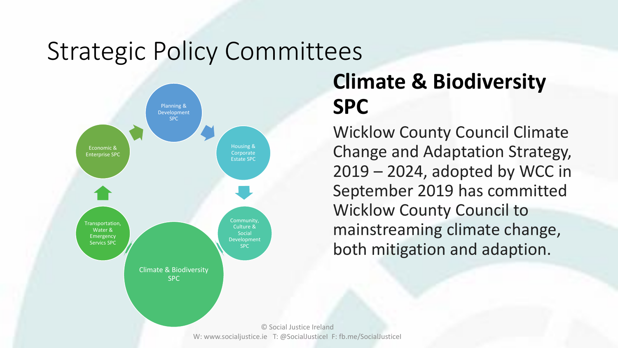

### **Climate & Biodiversity SPC**

Wicklow County Council Climate Change and Adaptation Strategy, 2019 – 2024, adopted by WCC in September 2019 has committed Wicklow County Council to mainstreaming climate change, both mitigation and adaption.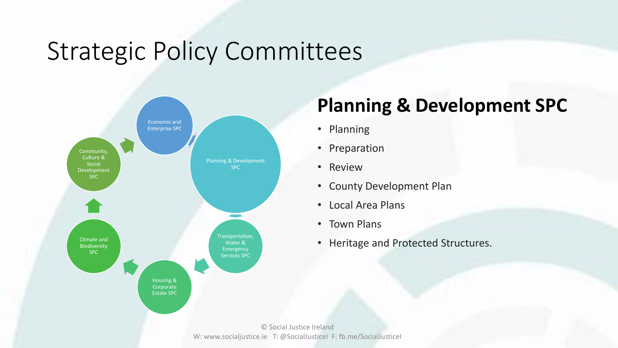

### **Planning & Development SPC**

- Planning
- Preparation
- Review
- County Development Plan
- Local Area Plans
- Town Plans
- Heritage and Protected Structures.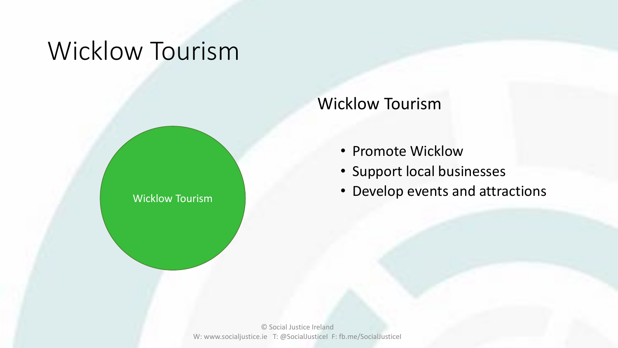### Wicklow Tourism

Wicklow Tourism

### Wicklow Tourism

- Promote Wicklow
- Support local businesses
- Develop events and attractions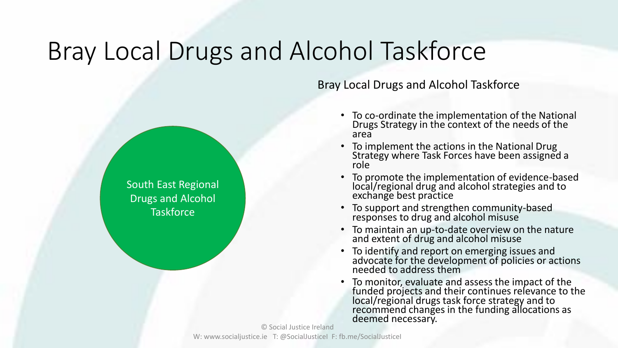### Bray Local Drugs and Alcohol Taskforce

South East Regional

Drugs and Alcohol

**Taskforce** 

Bray Local Drugs and Alcohol Taskforce

- To co-ordinate the implementation of the National Drugs Strategy in the context of the needs of the area
- To implement the actions in the National Drug Strategy where Task Forces have been assigned a role
- To promote the implementation of evidence-based local/regional drug and alcohol strategies and to exchange best practice
- To support and strengthen community-based responses to drug and alcohol misuse
- To maintain an up-to-date overview on the nature and extent of drug and alcohol misuse
- To identify and report on emerging issues and advocate for the development of policies or actions needed to address them
- To monitor, evaluate and assess the impact of the funded projects and their continues relevance to the local/regional drugs task force strategy and to recommend changes in the funding allocations as deemed necessary.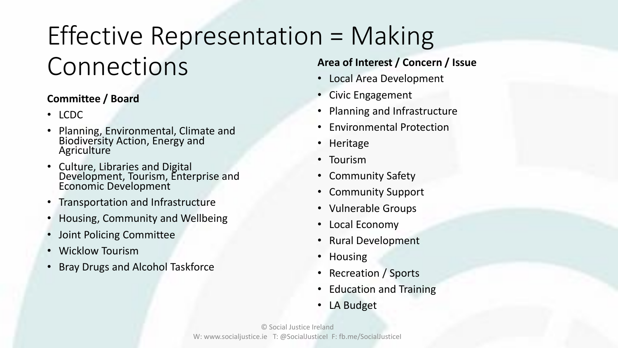## Effective Representation = Making Connections

#### **Committee / Board**

- LCDC
- Planning, Environmental, Climate and Biodiversity Action, Energy and **Agriculture**
- Culture, Libraries and Digital Development, Tourism, Enterprise and Economic Development
- Transportation and Infrastructure
- Housing, Community and Wellbeing
- Joint Policing Committee
- Wicklow Tourism
- Bray Drugs and Alcohol Taskforce

#### **Area of Interest / Concern / Issue**

- Local Area Development
- Civic Engagement
- Planning and Infrastructure
- Environmental Protection
- Heritage
- Tourism
- Community Safety
- Community Support
- Vulnerable Groups
- Local Economy
- Rural Development
- Housing
- Recreation / Sports
- Education and Training
- LA Budget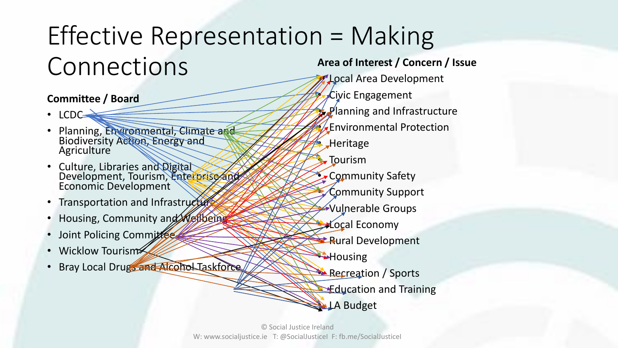## Effective Representation = Making Connections

#### **Committee / Board**

- LCDC
- Planning, Environmental, Climate and Biodiversity Action, Energy and **Agriculture**
- Culture, Libraries and Digital Development, Tourism, Enterprise and Economic Development
- Transportation and Infrastructure
- Housing, Community and Wellbeing
- Joint Policing Committee
- Wicklow Tourism
- Bray Local Drugs and Alcohol Taskforce

**Area of Interest / Concern / Issue** • Local Area Development • Civic Engagement • Planning and Infrastructure • Environmental Protection • Heritage **Tourism** • Community Safety • Community Support • Vulnerable Groups **Cocal Economy Rural Development**  $\bigoplus$  Housing Recreation / Sports **Education and Training** LA Budget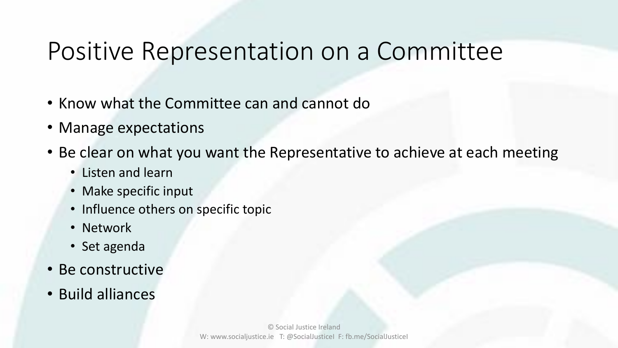### Positive Representation on a Committee

- Know what the Committee can and cannot do
- Manage expectations
- Be clear on what you want the Representative to achieve at each meeting
	- Listen and learn
	- Make specific input
	- Influence others on specific topic
	- Network
	- Set agenda
- Be constructive
- Build alliances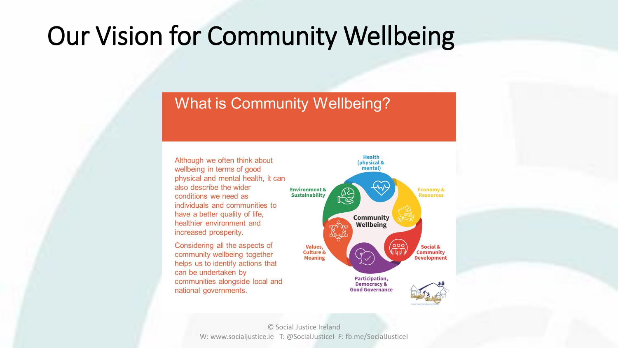### Our Vision for Community Wellbeing

#### **What is Community Wellbeing?**

Although we often think about wellbeing in terms of good physical and mental health, it can also describe the wider conditions we need as individuals and communities to have a better quality of life, healthier environment and increased prosperity.

Considering all the aspects of community wellbeing together helps us to identify actions that can be undertaken by communities alongside local and national governments.